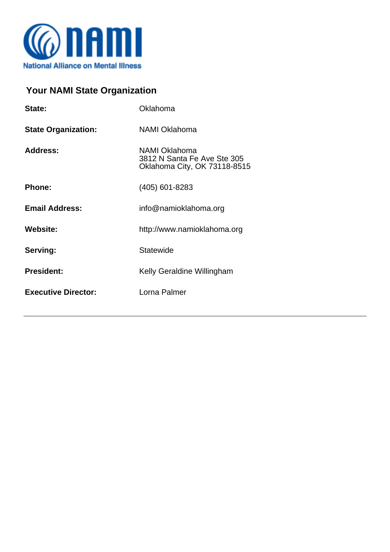

## **Your NAMI State Organization**

| State:                     | Oklahoma                                                                     |
|----------------------------|------------------------------------------------------------------------------|
| <b>State Organization:</b> | <b>NAMI Oklahoma</b>                                                         |
| <b>Address:</b>            | NAMI Oklahoma<br>3812 N Santa Fe Ave Ste 305<br>Oklahoma City, OK 73118-8515 |
| Phone:                     | (405) 601-8283                                                               |
| <b>Email Address:</b>      | info@namioklahoma.org                                                        |
| <b>Website:</b>            | http://www.namioklahoma.org                                                  |
| Serving:                   | <b>Statewide</b>                                                             |
| <b>President:</b>          | Kelly Geraldine Willingham                                                   |
| <b>Executive Director:</b> | Lorna Palmer                                                                 |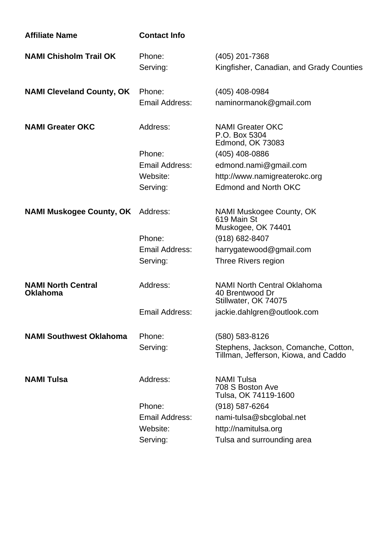| <b>Affiliate Name</b>                        | <b>Contact Info</b>      |                                                                               |
|----------------------------------------------|--------------------------|-------------------------------------------------------------------------------|
| <b>NAMI Chisholm Trail OK</b>                | Phone:<br>Serving:       | (405) 201-7368<br>Kingfisher, Canadian, and Grady Counties                    |
| <b>NAMI Cleveland County, OK</b>             | Phone:<br>Email Address: | (405) 408-0984<br>naminormanok@gmail.com                                      |
| <b>NAMI Greater OKC</b>                      | Address:                 | <b>NAMI Greater OKC</b><br>P.O. Box 5304<br><b>Edmond, OK 73083</b>           |
|                                              | Phone:                   | (405) 408-0886                                                                |
|                                              | Email Address:           | edmond.nami@gmail.com                                                         |
|                                              | Website:                 | http://www.namigreaterokc.org                                                 |
|                                              | Serving:                 | <b>Edmond and North OKC</b>                                                   |
| <b>NAMI Muskogee County, OK</b>              | Address:                 | NAMI Muskogee County, OK<br>619 Main St<br>Muskogee, OK 74401                 |
|                                              | Phone:                   | $(918) 682 - 8407$                                                            |
|                                              | Email Address:           | harrygatewood@gmail.com                                                       |
|                                              | Serving:                 | Three Rivers region                                                           |
| <b>NAMI North Central</b><br><b>Oklahoma</b> | Address:                 | <b>NAMI North Central Oklahoma</b><br>40 Brentwood Dr<br>Stillwater, OK 74075 |
|                                              | Email Address:           | jackie.dahlgren@outlook.com                                                   |
| <b>NAMI Southwest Oklahoma</b>               | Phone:                   | (580) 583-8126                                                                |
|                                              | Serving:                 | Stephens, Jackson, Comanche, Cotton,<br>Tillman, Jefferson, Kiowa, and Caddo  |
| <b>NAMI Tulsa</b>                            | Address:                 | <b>NAMI Tulsa</b><br>708 S Boston Ave<br>Tulsa, OK 74119-1600                 |
|                                              | Phone:                   | (918) 587-6264                                                                |
|                                              | Email Address:           | nami-tulsa@sbcglobal.net                                                      |
|                                              | Website:                 | http://namitulsa.org                                                          |
|                                              | Serving:                 | Tulsa and surrounding area                                                    |
|                                              |                          |                                                                               |